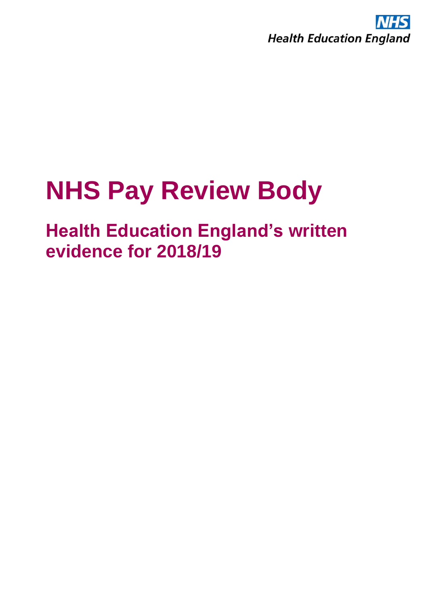

### **NHS Pay Review Body**

### **Health Education England's written evidence for 2018/19**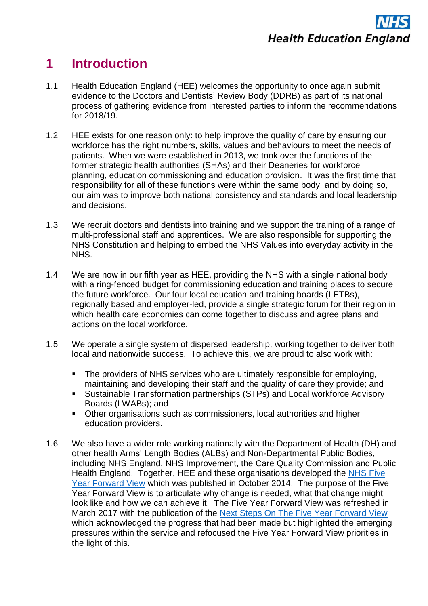

#### **1 Introduction**

- 1.1 Health Education England (HEE) welcomes the opportunity to once again submit evidence to the Doctors and Dentists' Review Body (DDRB) as part of its national process of gathering evidence from interested parties to inform the recommendations for 2018/19.
- 1.2 HEE exists for one reason only: to help improve the quality of care by ensuring our workforce has the right numbers, skills, values and behaviours to meet the needs of patients. When we were established in 2013, we took over the functions of the former strategic health authorities (SHAs) and their Deaneries for workforce planning, education commissioning and education provision. It was the first time that responsibility for all of these functions were within the same body, and by doing so, our aim was to improve both national consistency and standards and local leadership and decisions.
- 1.3 We recruit doctors and dentists into training and we support the training of a range of multi-professional staff and apprentices. We are also responsible for supporting the NHS Constitution and helping to embed the NHS Values into everyday activity in the NHS.
- 1.4 We are now in our fifth year as HEE, providing the NHS with a single national body with a ring-fenced budget for commissioning education and training places to secure the future workforce. Our four local education and training boards (LETBs), regionally based and employer-led, provide a single strategic forum for their region in which health care economies can come together to discuss and agree plans and actions on the local workforce.
- 1.5 We operate a single system of dispersed leadership, working together to deliver both local and nationwide success. To achieve this, we are proud to also work with:
	- The providers of NHS services who are ultimately responsible for employing, maintaining and developing their staff and the quality of care they provide; and
	- Sustainable Transformation partnerships (STPs) and Local workforce Advisory Boards (LWABs); and
	- Other organisations such as commissioners, local authorities and higher education providers.
- 1.6 We also have a wider role working nationally with the Department of Health (DH) and other health Arms' Length Bodies (ALBs) and Non-Departmental Public Bodies, including NHS England, NHS Improvement, the Care Quality Commission and Public Health England. Together, HEE and these organisations developed the [NHS Five](https://www.england.nhs.uk/wp-content/uploads/2014/10/5yfv-web.pdf)  [Year Forward View](https://www.england.nhs.uk/wp-content/uploads/2014/10/5yfv-web.pdf) which was published in October 2014. The purpose of the Five Year Forward View is to articulate why change is needed, what that change might look like and how we can achieve it. The Five Year Forward View was refreshed in March 2017 with the publication of the [Next Steps On The Five Year Forward View](https://www.england.nhs.uk/wp-content/uploads/2017/03/NEXT-STEPS-ON-THE-NHS-FIVE-YEAR-FORWARD-VIEW.pdf) which acknowledged the progress that had been made but highlighted the emerging pressures within the service and refocused the Five Year Forward View priorities in the light of this.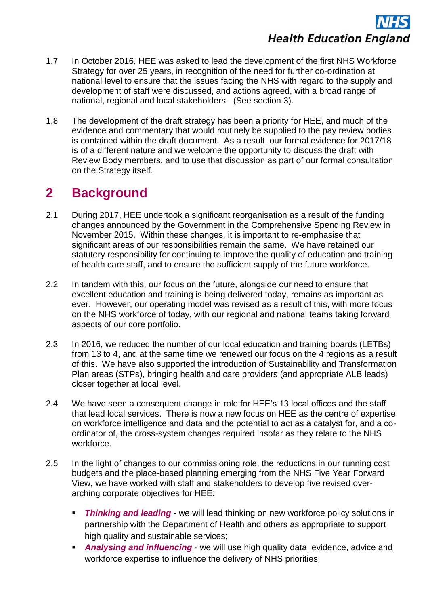# **Health Education England**

- 1.7 In October 2016, HEE was asked to lead the development of the first NHS Workforce Strategy for over 25 years, in recognition of the need for further co-ordination at national level to ensure that the issues facing the NHS with regard to the supply and development of staff were discussed, and actions agreed, with a broad range of national, regional and local stakeholders. (See section 3).
- 1.8 The development of the draft strategy has been a priority for HEE, and much of the evidence and commentary that would routinely be supplied to the pay review bodies is contained within the draft document. As a result, our formal evidence for 2017/18 is of a different nature and we welcome the opportunity to discuss the draft with Review Body members, and to use that discussion as part of our formal consultation on the Strategy itself.

#### **2 Background**

- 2.1 During 2017, HEE undertook a significant reorganisation as a result of the funding changes announced by the Government in the Comprehensive Spending Review in November 2015. Within these changes, it is important to re-emphasise that significant areas of our responsibilities remain the same. We have retained our statutory responsibility for continuing to improve the quality of education and training of health care staff, and to ensure the sufficient supply of the future workforce.
- 2.2 In tandem with this, our focus on the future, alongside our need to ensure that excellent education and training is being delivered today, remains as important as ever. However, our operating model was revised as a result of this, with more focus on the NHS workforce of today, with our regional and national teams taking forward aspects of our core portfolio.
- 2.3 In 2016, we reduced the number of our local education and training boards (LETBs) from 13 to 4, and at the same time we renewed our focus on the 4 regions as a result of this. We have also supported the introduction of Sustainability and Transformation Plan areas (STPs), bringing health and care providers (and appropriate ALB leads) closer together at local level.
- 2.4 We have seen a consequent change in role for HEE's 13 local offices and the staff that lead local services. There is now a new focus on HEE as the centre of expertise on workforce intelligence and data and the potential to act as a catalyst for, and a coordinator of, the cross-system changes required insofar as they relate to the NHS workforce.
- 2.5 In the light of changes to our commissioning role, the reductions in our running cost budgets and the place-based planning emerging from the NHS Five Year Forward View, we have worked with staff and stakeholders to develop five revised overarching corporate objectives for HEE:
	- **Thinking and leading** we will lead thinking on new workforce policy solutions in partnership with the Department of Health and others as appropriate to support high quality and sustainable services;
	- *Analysing and influencing* we will use high quality data, evidence, advice and workforce expertise to influence the delivery of NHS priorities;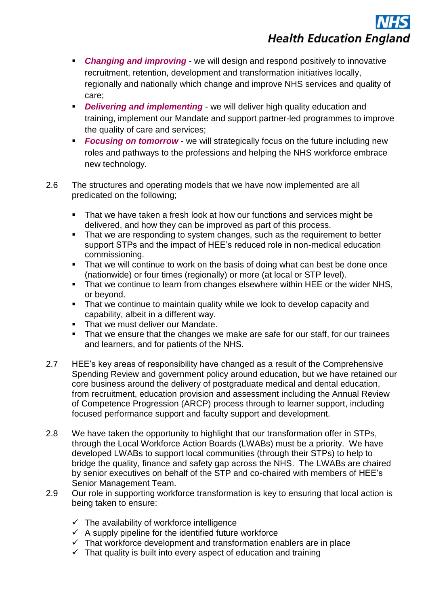# **Health Education England**

- *Changing and improving* we will design and respond positively to innovative recruitment, retention, development and transformation initiatives locally, regionally and nationally which change and improve NHS services and quality of care;
- **Delivering and implementing** we will deliver high quality education and training, implement our Mandate and support partner-led programmes to improve the quality of care and services;
- **Focusing on tomorrow** we will strategically focus on the future including new roles and pathways to the professions and helping the NHS workforce embrace new technology.
- 2.6 The structures and operating models that we have now implemented are all predicated on the following;
	- That we have taken a fresh look at how our functions and services might be delivered, and how they can be improved as part of this process.
	- That we are responding to system changes, such as the requirement to better support STPs and the impact of HEE's reduced role in non-medical education commissioning.
	- That we will continue to work on the basis of doing what can best be done once (nationwide) or four times (regionally) or more (at local or STP level).
	- That we continue to learn from changes elsewhere within HEE or the wider NHS, or beyond.
	- That we continue to maintain quality while we look to develop capacity and capability, albeit in a different way.
	- That we must deliver our Mandate.
	- That we ensure that the changes we make are safe for our staff, for our trainees and learners, and for patients of the NHS.
- 2.7 HEE's key areas of responsibility have changed as a result of the Comprehensive Spending Review and government policy around education, but we have retained our core business around the delivery of postgraduate medical and dental education, from recruitment, education provision and assessment including the Annual Review of Competence Progression (ARCP) process through to learner support, including focused performance support and faculty support and development.
- 2.8 We have taken the opportunity to highlight that our transformation offer in STPs, through the Local Workforce Action Boards (LWABs) must be a priority. We have developed LWABs to support local communities (through their STPs) to help to bridge the quality, finance and safety gap across the NHS. The LWABs are chaired by senior executives on behalf of the STP and co-chaired with members of HEE's Senior Management Team.
- 2.9 Our role in supporting workforce transformation is key to ensuring that local action is being taken to ensure:
	- $\checkmark$  The availability of workforce intelligence
	- $\checkmark$  A supply pipeline for the identified future workforce
	- $\checkmark$  That workforce development and transformation enablers are in place
	- $\checkmark$  That quality is built into every aspect of education and training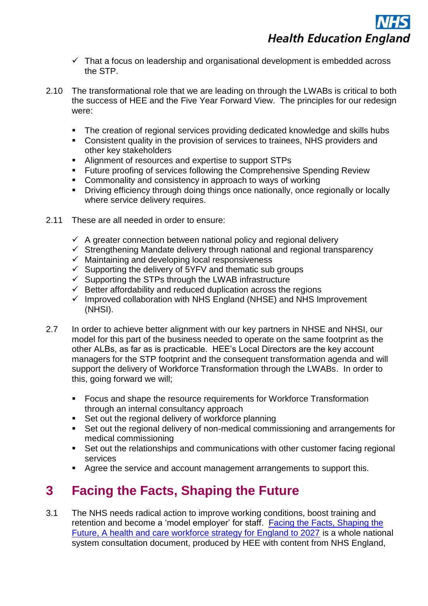- $\checkmark$  That a focus on leadership and organisational development is embedded across the STP.
- 2.10 The transformational role that we are leading on through the LWABs is critical to both the success of HEE and the Five Year Forward View. The principles for our redesign were:
	- The creation of regional services providing dedicated knowledge and skills hubs
	- Consistent quality in the provision of services to trainees, NHS providers and other key stakeholders
	- Alignment of resources and expertise to support STPs
	- **Future proofing of services following the Comprehensive Spending Review**
	- Commonality and consistency in approach to ways of working
	- Driving efficiency through doing things once nationally, once regionally or locally where service delivery requires.
- 2.11 These are all needed in order to ensure:
	- $\checkmark$  A greater connection between national policy and regional delivery
	- $\checkmark$  Strengthening Mandate delivery through national and regional transparency
	- $\checkmark$  Maintaining and developing local responsiveness
	- $\checkmark$  Supporting the delivery of 5YFV and thematic sub groups
	- $\checkmark$  Supporting the STPs through the LWAB infrastructure
	- $\checkmark$  Better affordability and reduced duplication across the regions
	- $\checkmark$  Improved collaboration with NHS England (NHSE) and NHS Improvement (NHSI).
- 2.7 In order to achieve better alignment with our key partners in NHSE and NHSI, our model for this part of the business needed to operate on the same footprint as the other ALBs, as far as is practicable. HEE's Local Directors are the key account managers for the STP footprint and the consequent transformation agenda and will support the delivery of Workforce Transformation through the LWABs. In order to this, going forward we will;
	- Focus and shape the resource requirements for Workforce Transformation through an internal consultancy approach
	- **Set out the regional delivery of workforce planning**
	- Set out the regional delivery of non-medical commissioning and arrangements for medical commissioning
	- Set out the relationships and communications with other customer facing regional services
	- Agree the service and account management arrangements to support this.

#### **3 Facing the Facts, Shaping the Future**

3.1 The NHS needs radical action to improve working conditions, boost training and retention and become a 'model employer' for staff. [Facing the Facts, Shaping the](https://www.hee.nhs.uk/sites/default/files/documents/Facing%20the%20Facts%2C%20Shaping%20the%20Future%20%E2%80%93%20a%20draft%20health%20and%20care%20workforce%20strategy%20for%20England%20to%202027.pdf)  [Future, A health and care workforce strategy for England to 2027](https://www.hee.nhs.uk/sites/default/files/documents/Facing%20the%20Facts%2C%20Shaping%20the%20Future%20%E2%80%93%20a%20draft%20health%20and%20care%20workforce%20strategy%20for%20England%20to%202027.pdf) is a whole national system consultation document, produced by HEE with content from NHS England,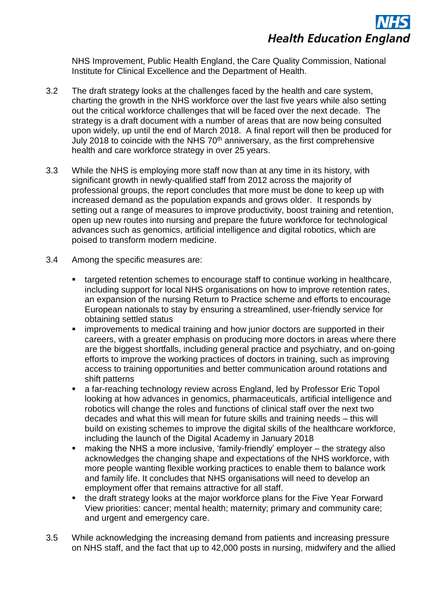

NHS Improvement, Public Health England, the Care Quality Commission, National Institute for Clinical Excellence and the Department of Health.

- 3.2 The draft strategy looks at the challenges faced by the health and care system, charting the growth in the NHS workforce over the last five years while also setting out the critical workforce challenges that will be faced over the next decade. The strategy is a draft document with a number of areas that are now being consulted upon widely, up until the end of March 2018. A final report will then be produced for July 2018 to coincide with the NHS  $70<sup>th</sup>$  anniversary, as the first comprehensive health and care workforce strategy in over 25 years.
- 3.3 While the NHS is employing more staff now than at any time in its history, with significant growth in newly-qualified staff from 2012 across the majority of professional groups, the report concludes that more must be done to keep up with increased demand as the population expands and grows older. It responds by setting out a range of measures to improve productivity, boost training and retention, open up new routes into nursing and prepare the future workforce for technological advances such as genomics, artificial intelligence and digital robotics, which are poised to transform modern medicine.
- 3.4 Among the specific measures are:
	- targeted retention schemes to encourage staff to continue working in healthcare, including support for local NHS organisations on how to improve retention rates, an expansion of the nursing Return to Practice scheme and efforts to encourage European nationals to stay by ensuring a streamlined, user-friendly service for obtaining settled status
	- improvements to medical training and how junior doctors are supported in their careers, with a greater emphasis on producing more doctors in areas where there are the biggest shortfalls, including general practice and psychiatry, and on-going efforts to improve the working practices of doctors in training, such as improving access to training opportunities and better communication around rotations and shift patterns
	- a far-reaching technology review across England, led by Professor Eric Topol looking at how advances in genomics, pharmaceuticals, artificial intelligence and robotics will change the roles and functions of clinical staff over the next two decades and what this will mean for future skills and training needs – this will build on existing schemes to improve the digital skills of the healthcare workforce, including the launch of the Digital Academy in January 2018
	- making the NHS a more inclusive, 'family-friendly' employer the strategy also acknowledges the changing shape and expectations of the NHS workforce, with more people wanting flexible working practices to enable them to balance work and family life. It concludes that NHS organisations will need to develop an employment offer that remains attractive for all staff.
	- the draft strategy looks at the major workforce plans for the Five Year Forward View priorities: cancer; mental health; maternity; primary and community care; and urgent and emergency care.
- 3.5 While acknowledging the increasing demand from patients and increasing pressure on NHS staff, and the fact that up to 42,000 posts in nursing, midwifery and the allied